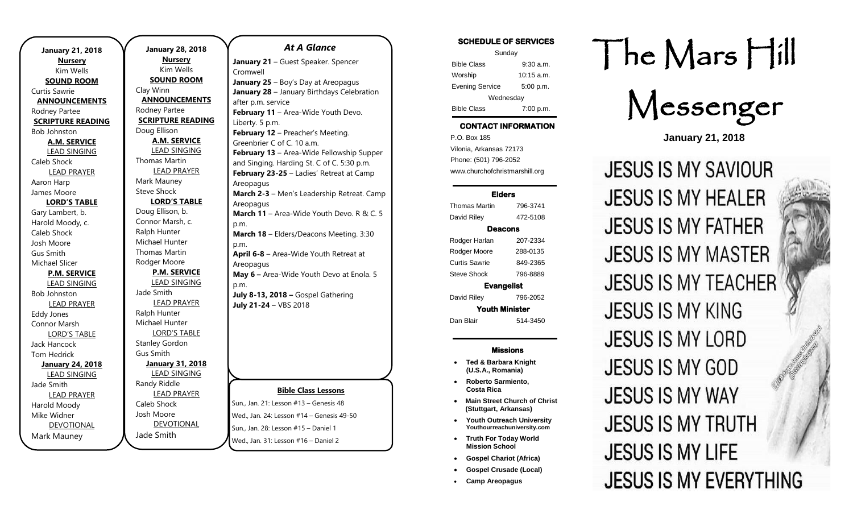| <b>January 21, 2018</b>  | <b>January 28, 20</b> |
|--------------------------|-----------------------|
| <b>Nursery</b>           | <b>Nursery</b>        |
| Kim Wells                | Kim Wells             |
| <b>SOUND ROOM</b>        | <b>SOUND ROOM</b>     |
| Curtis Sawrie            | Clay Winn             |
| <b>ANNOUNCEMENTS</b>     | <b>ANNOUNCEMEN</b>    |
| Rodney Partee            | Rodney Partee         |
| <b>SCRIPTURE READING</b> | <b>SCRIPTURE READ</b> |
| <b>Bob Johnston</b>      | Doug Ellison          |
| <b>A.M. SERVICE</b>      | <b>A.M. SERVICE</b>   |
| <b>LEAD SINGING</b>      | <b>LEAD SINGINO</b>   |
| Caleb Shock              | Thomas Martin         |
| <b>LEAD PRAYER</b>       | <b>LEAD PRAYER</b>    |
| Aaron Harp               | Mark Mauney           |
| James Moore              | <b>Steve Shock</b>    |
| <b>LORD'S TABLE</b>      | <b>LORD'S TABL</b>    |
| Gary Lambert, b.         | Doug Ellison, b.      |
| Harold Moody, c.         | Connor Marsh, c.      |
| Caleb Shock              | Ralph Hunter          |
| Josh Moore               | Michael Hunter        |
| Gus Smith                | <b>Thomas Martin</b>  |
| Michael Slicer           | Rodger Moore          |
| <b>P.M. SERVICE</b>      | <b>P.M. SERVICE</b>   |
| <b>LEAD SINGING</b>      | <b>LEAD SINGING</b>   |
| <b>Bob Johnston</b>      | Jade Smith            |
| <b>LEAD PRAYER</b>       | <b>LEAD PRAYER</b>    |
| <b>Eddy Jones</b>        | Ralph Hunter          |
| Connor Marsh             | Michael Hunter        |
| <b>LORD'S TABLE</b>      | <b>LORD'S TABLE</b>   |
| Jack Hancock             | <b>Stanley Gordon</b> |
| <b>Tom Hedrick</b>       | <b>Gus Smith</b>      |
| <b>January 24, 2018</b>  | <b>January 31, 20</b> |
| <b>LEAD SINGING</b>      | <b>LEAD SINGING</b>   |
| Jade Smith               | Randy Riddle          |
| <b>LEAD PRAYER</b>       | <b>LEAD PRAYER</b>    |
| Harold Moody             | Caleb Shock           |
| Mike Widner              | Josh Moore            |
| <b>DEVOTIONAL</b>        | <b>DEVOTIONAL</b>     |
| Mark Mauney              | Jade Smith            |
|                          |                       |

.

| , 28, 2018        | <b>At A Glance</b>                         |
|-------------------|--------------------------------------------|
| <u>rsery</u>      | January 21 - Guest Speaker. Spencer        |
| ı Wells           | Cromwell                                   |
| <u>D ROOM</u>     | January 25 - Boy's Day at Areopagus        |
|                   | January 28 - January Birthdays Celebration |
| NCEMENTS          | after p.m. service                         |
| rtee              | February 11 - Area-Wide Youth Devo.        |
| RE READING        | Liberty. 5 p.m.                            |
| 'n                | February 12 - Preacher's Meeting.          |
| <b>SERVICE</b>    | Greenbrier C of C. 10 a.m.                 |
| <u>SINGING</u>    | February 13 - Area-Wide Fellowship Suppe   |
| artin             | and Singing. Harding St. C of C. 5:30 p.m. |
| <b>PRAYER</b>     | February 23-25 - Ladies' Retreat at Camp   |
| າey               | Areopagus                                  |
| k.                | March 2-3 - Men's Leadership Retreat. Cam  |
| <b>STABLE</b>     | Areopagus                                  |
| n, b.             | March 11 - Area-Wide Youth Devo. R & C.    |
| ırsh, c.          | p.m.                                       |
| ter               | March 18 - Elders/Deacons Meeting. 3:30    |
| ınter             | p.m.                                       |
| artin             | April 6-8 - Area-Wide Youth Retreat at     |
| ore               | Areopagus                                  |
| <u>SERVICE</u>    | May 6 - Area-Wide Youth Devo at Enola. 5   |
| <b>SINGING</b>    | p.m.                                       |
|                   | July 8-13, 2018 - Gospel Gathering         |
| <b>PRAYER</b>     | July 21-24 - VBS 2018                      |
| ter               |                                            |
| ınter             |                                            |
| 'S TABLE<br>rdon  |                                            |
|                   |                                            |
| <u>, 31, 2018</u> |                                            |
| <u>SINGING</u>    |                                            |
| lle.              |                                            |
| <b>PRAYER</b>     | <b>Bible Class Lessons</b>                 |
| :k                | Sun., Jan. 21: Lesson #13 - Genesis 48     |
| e                 | Wed., Jan. 24: Lesson #14 - Genesis 49-50  |
| <b>TIONAL</b>     |                                            |
|                   | Sun., Jan. 28: Lesson #15 - Daniel 1       |

Wed., Jan. 31: Lesson #16 – Daniel 2

 $\mathsf{\overline{supper}}$ : Camp  $&$  C. 5

#### Sunday Bible Class 9:30 a.m. Worship 10:15 a.m. Evening Service 5:00 p.m. Wednesday Bible Class 7:00 p.m.

SCHEDULE OF SERVICES

## CONTACT INFORMATION

. .o. Box 166<br>Vilonia, Arkansas 72173 P.O. Box 185 Phone: (501) 796-2052 www.churchofchristmarshill.org

#### Elders

Thomas Martin 796-3741 David Riley 472-5108 Deacons Rodger Harlan 207-2334

Rodger Moore 288-0135 Curtis Sawrie 849-2365 Steve Shock 796-8889

Evangelist David Riley 796-2052

Youth Minister

Dan Blair 514-3450

#### Missions

- **Ted & Barbara Knight (U.S.A., Romania)**
- **Roberto Sarmiento, Costa Rica**
- **Main Street Church of Christ (Stuttgart, Arkansas)**
- **Youth Outreach University Youthourreachuniversity.com**
- **Truth For Today World Mission School**
- **Gospel Chariot (Africa)**
- **Gospel Crusade (Local)**
- **Camp Areopagus**

# The Mars Hill

Messenger

**January 21, 2018**

**JESUS IS MY SAVIOUR JESUS IS MY HEALER JESUS IS MY FATHER JESUS IS MY MASTER JESUS IS MY TEACHER JESUS IS MY KING JESUS IS MY LORD JESUS IS MY GOD JESUS IS MY WAY JESUS IS MY TRUTH JESUS IS MY LIFE JESUS IS MY EVERYTHING**